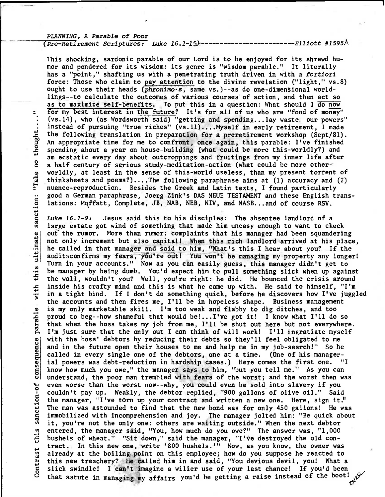## PLANNING, A Parable of Poor

thought..

 $\mathbf{a}$ 

"Take

ultimate sanction:

this

with

parable

consequence

sanction-of

this

Contrast

## (Pre-Retirement Scriptures: Luke 16.1-15) ---------*Elliott #1595*Å

This shocking, sardonic parable of our Lord is to be enjoyed for its shrewd humor and pondered for its wisdom: its genre is "wisdom parable." It literally has a "point," shafting us with a penetrating truth driven in with a fortiori force: Those who claim to pay attention to the divine revelation ("light," vs.8) ought to use their heads (phronimo.s, same vs.)--as do one-dimensional worldlings--to calculate the outcomes of various courses of action, and then act so as to maximize self-benefits. To put this in a question: What should I do now for my best interest in the future? It's for all of us who are "fond of money" (vs.14), who (as Wordsworth said) "getting and spending...lay waste our powers" instead of pursuing "true riches" (vs.11)....Myself in early retirement, I made the following translation in preparation for a preretirement workshop (Sept/81). An appropriate time for me to confront, once again, this parable: I've finished spending about a year on house-building (what could be more this-worldly?) and am ecstatic every day about outcroppings and fruitings from my inner life after a half century of serious study-meditation-action (what could be more otherworldly, at least in the sense of this-world useless, than my present torrent of thinksheets and poems?)....The following paraphrase aims at  $(1)$  accuracy and  $(2)$ nuance-reproduction. Besides the Greek and Latin texts, I found particularly good a German paraphrase, Joerg Zink's DAS NEUE TESTAMENT and these English translations: Moffatt, Complete, JB, NAB, NEB, NIV, and NASB...and of course RSV.

Luke 16.1-9: Jesus said this to his disciples: The absentee landlord of a large estate got wind of something that made him uneasy enough to want to ckeck out the rumor. More than rumor: complaints that his manager had been squandering not only increment but also capital! When this rich landlord arrived at his place, he called in that manager and said to him, "What's this I hear about you? If the auditsconfirms my fears, you're out! You won't be managing my property any longer! Turn in your accounts." Now as you can easily guess, this manager didn't get to be manager by being dumb. You'd expect him to pull something slick when up against the wall, wouldn't you? Well, you're right: he did. He bounced the crisis around inside his crafty mind and this is what he came up with. He said to himself, "I'm in a tight bind. If I don't do something quick, before he discovers how I've juggled the accounts and then fires me, I'll be in hopeless shape. Business management is my only marketable skill. I'm too weak and flabby to dig ditches, and too proud to beg--how shameful that would be!... I've got it! I know what I'll do so that when the boss takes my job from me, I'll be shut out here but not everywhere. I'm just sure that the only out I can think of will work! I'll ingratiate myself with the boss' debtors by reducing their debts so they'll feel obligated to me and in the future open their houses to me and help me in my job-search!" So he called in every single one of the debtors, one at a time. (One of his managerial powers was debt-reduction in hardship cases.) Here comes the first one. "I know how much you owe," the manager says to him, "but you tell me." As you can understand, the poor man trembled with fears of the worst; and the worst then was even worse than the worst now--why, you could even be sold into slavery if you couldn't pay up. Weakly, the debtor replied, "900 gallons of olive oil." Said the manager, "I've torn up your contract and written a new one. Here, sign it." The man was astounded to find that the new bond was for only 450 gallons! He was immobilized with incomprehension and joy. The manager jolted him: "Be quick about it, you're not the only one: others are waiting outside." When the next debtor entered, the manager said, "You, how much do you owe?" The answer was, "1,000 bushels of wheat." "Sit down," said the manager, "I've destroyed the old contract, In this new one, write '800 bushels.'" Now, as you know, the owner was already at the boiling point on this employee; how do you suppose he reacted to this new treachery? He called him in and said, "You devious devil, you! What a slick swindle! I can't imagine a wilier use of your last chance! If you'd been that astute in managing my affairs you'd be getting a raise instead of the boot!